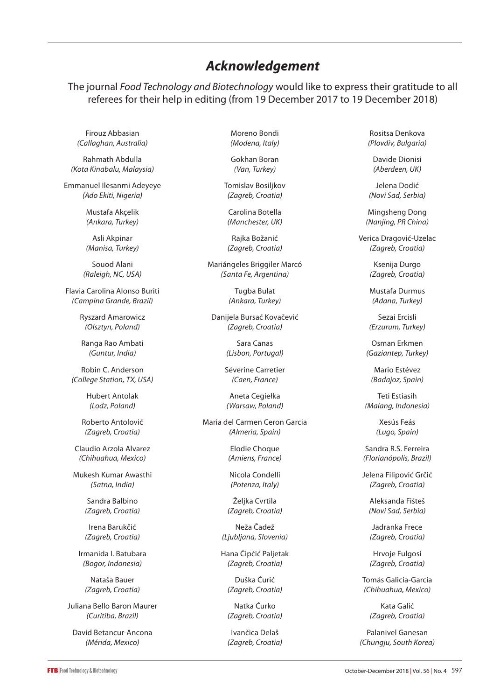## *Acknowledgement*

The journal *Food Technology and Biotechnology* would like to express their gratitude to all referees for their help in editing (from 19 December 2017 to 19 December 2018)

Firouz Abbasian *(Callaghan, Australia)*

Rahmath Abdulla *(Kota Kinabalu, Malaysia)*

Emmanuel Ilesanmi Adeyeye *(Ado Ekiti, Nigeria)*

> Mustafa Akçelik *(Ankara, Turkey)*

> Asli Akpinar *(Manisa, Turkey)*

Souod Alani *(Raleigh, NC, USA)*

Flavia Carolina Alonso Buriti *(Campina Grande, Brazil)*

> Ryszard Amarowicz *(Olsztyn, Poland)*

Ranga Rao Ambati *(Guntur, India)*

Robin C. Anderson *(College Station, TX, USA)*

> Hubert Antolak *(Lodz, Poland)*

Roberto Antolović *(Zagreb, Croatia)*

Claudio Arzola Alvarez *(Chihuahua, Mexico)*

Mukesh Kumar Awasthi *(Satna, India)*

> Sandra Balbino *(Zagreb, Croatia)*

Irena Barukčić *(Zagreb, Croatia)*

Irmanida I. Batubara *(Bogor, Indonesia)*

Nataša Bauer *(Zagreb, Croatia)*

Juliana Bello Baron Maurer *(Curitiba, Brazil)*

David Betancur-Ancona *(Mérida, Mexico)*

Moreno Bondi *(Modena, Italy)*

Gokhan Boran *(Van, Turkey)*

Tomislav Bosiljkov *(Zagreb, Croatia)*

Carolina Botella *(Manchester, UK)*

Rajka Božanić *(Zagreb, Croatia)*

Mariángeles Briggiler Marcó *(Santa Fe, Argentina)*

> Tugba Bulat *(Ankara, Turkey)*

Danijela Bursać Kovačević *(Zagreb, Croatia)*

> Sara Canas *(Lisbon, Portugal)*

Séverine Carretier *(Caen, France)*

Aneta Cegiełka *(Warsaw, Poland)*

Maria del Carmen Ceron Garcia *(Almeria, Spain)*

> Elodie Choque *(Amiens, France)*

Nicola Condelli *(Potenza, Italy)*

Željka Cvrtila *(Zagreb, Croatia)*

Neža Čadež *(Ljubljana, Slovenia)*

Hana Čipčić Paljetak *(Zagreb, Croatia)*

> Duška Ćurić *(Zagreb, Croatia)*

> Natka Ćurko *(Zagreb, Croatia)*

> Ivančica Delaš *(Zagreb, Croatia)*

Rositsa Denkova *(Plovdiv, Bulgaria)*

Davide Dionisi *(Aberdeen, UK)*

Jelena Dodić *(Novi Sad, Serbia)*

Mingsheng Dong *(Nanjing, PR China)*

Verica Dragović-Uzelac *(Zagreb, Croatia)*

> Ksenija Durgo *(Zagreb, Croatia)*

Mustafa Durmus *(Adana, Turkey)*

Sezai Ercisli *(Erzurum, Turkey)*

Osman Erkmen *(Gaziantep, Turkey)*

Mario Estévez *(Badajoz, Spain)*

Teti Estiasih *(Malang, Indonesia)*

> Xesús Feás *(Lugo, Spain)*

Sandra R.S. Ferreira *(Florianópolis, Brazil)*

Jelena Filipović Grčić *(Zagreb, Croatia)*

Aleksanda Fišteš *(Novi Sad, Serbia)*

Jadranka Frece *(Zagreb, Croatia)*

Hrvoje Fulgosi *(Zagreb, Croatia)*

Tomás Galicia-García *(Chihuahua, Mexico)*

> Kata Galić *(Zagreb, Croatia)*

Palanivel Ganesan *(Chungju, South Korea)*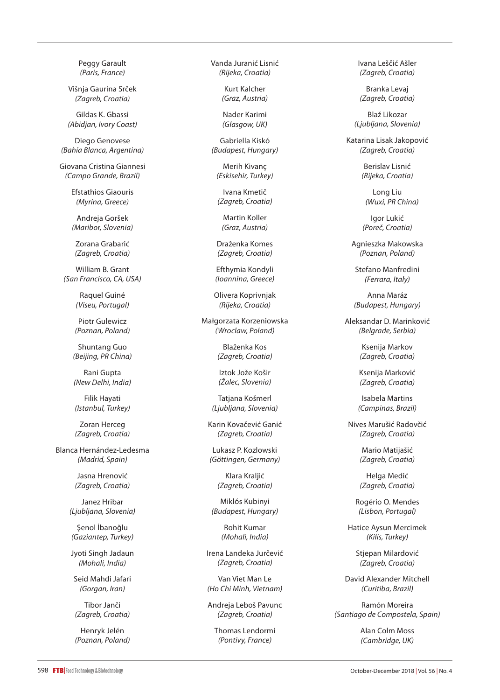Peggy Garault *(Paris, France)*

Višnja Gaurina Srček *(Zagreb, Croatia)*

Gildas K. Gbassi *(Abidjan, Ivory Coast)*

Diego Genovese *(Bahía Blanca, Argentina)*

Giovana Cristina Giannesi *(Campo Grande, Brazil)*

> Efstathios Giaouris *(Myrina, Greece)*

Andreja Goršek *(Maribor, Slovenia)*

Zorana Grabarić *(Zagreb, Croatia)*

William B. Grant *(San Francisco, CA, USA)*

> Raquel Guiné *(Viseu, Portugal)*

Piotr Gulewicz *(Poznan, Poland)*

Shuntang Guo *(Beijing, PR China)*

Rani Gupta *(New Delhi, India)*

Filik Hayati *(Istanbul, Turkey)*

Zoran Herceg *(Zagreb, Croatia)*

Blanca Hernández-Ledesma *(Madrid, Spain)*

> Jasna Hrenović *(Zagreb, Croatia)*

Janez Hribar *(Ljubljana, Slovenia)*

Şenol İbanoğlu *(Gaziantep, Turkey)*

Jyoti Singh Jadaun *(Mohali, India)*

Seid Mahdi Jafari *(Gorgan, Iran)*

Tibor Janči *(Zagreb, Croatia)*

Henryk Jelén *(Poznan, Poland)* Vanda Juranić Lisnić *(Rijeka, Croatia)*

> Kurt Kalcher *(Graz, Austria)*

> Nader Karimi *(Glasgow, UK)*

Gabriella Kiskó *(Budapest, Hungary)*

Merih Kivanç *(Eskisehir, Turkey)*

Ivana Kmetič *(Zagreb, Croatia)*

Martin Koller *(Graz, Austria)*

Draženka Komes *(Zagreb, Croatia)*

Efthymia Kondyli *(Ioannina, Greece)*

Olivera Koprivnjak *(Rijeka, Croatia)*

Małgorzata Korzeniowska *(Wroclaw, Poland)*

> Blaženka Kos *(Zagreb, Croatia)*

Iztok Jože Košir *(Žalec, Slovenia)*

Tatjana Košmerl *(Ljubljana, Slovenia)*

Karin Kovačević Ganić *(Zagreb, Croatia)*

Lukasz P. Kozlowski *(Göttingen, Germany)*

> Klara Kraljić *(Zagreb, Croatia)*

Miklós Kubinyi *(Budapest, Hungary)*

> Rohit Kumar *(Mohali, India)*

Irena Landeka Jurčević *(Zagreb, Croatia)*

Van Viet Man Le *(Ho Chi Minh, Vietnam)*

Andreja Leboš Pavunc *(Zagreb, Croatia)*

Thomas Lendormi *(Pontivy, France)*

Ivana Leščić Ašler *(Zagreb, Croatia)*

Branka Levaj *(Zagreb, Croatia)*

Blaž Likozar *(Ljubljana, Slovenia)*

Katarina Lisak Jakopović *(Zagreb, Croatia)*

> Berislav Lisnić *(Rijeka, Croatia)*

Long Liu *(Wuxi,* PR *China)*

Igor Lukić *(Poreč, Croatia)*

Agnieszka Makowska *(Poznan, Poland)*

Stefano Manfredini *(Ferrara, Italy)*

Anna Maráz *(Budapest, Hungary)*

Aleksandar D. Marinković *(Belgrade, Serbia)*

> Ksenija Markov *(Zagreb, Croatia)*

Ksenija Marković *(Zagreb, Croatia)*

Isabela Martins *(Campinas, Brazil)*

Nives Marušić Radovčić *(Zagreb, Croatia)*

> Mario Matijašić *(Zagreb, Croatia)*

Helga Medić *(Zagreb, Croatia)*

Rogério O. Mendes *(Lisbon, Portugal)*

Hatice Aysun Mercimek *(Kilis, Turkey)*

> Stjepan Milardović *(Zagreb, Croatia)*

David Alexander Mitchell *(Curitiba, Brazil)*

Ramón Moreira *(Santiago de Compostela, Spain)*

> Alan Colm Moss *(Cambridge, UK)*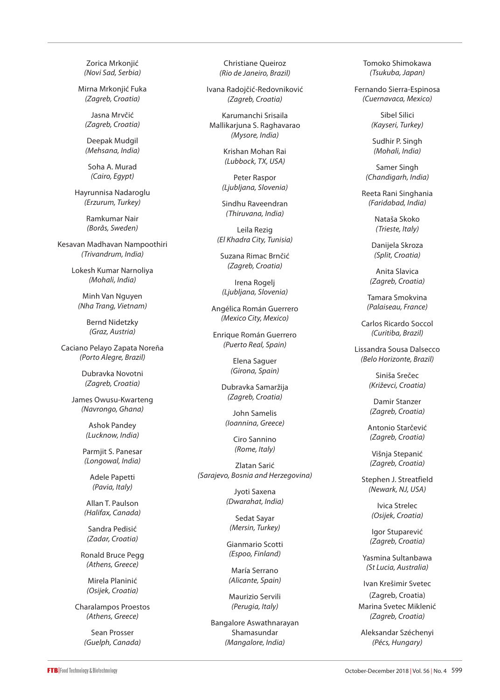Zorica Mrkonjić *(Novi Sad, Serbia)*

Mirna Mrkonjić Fuka *(Zagreb, Croatia)*

Jasna Mrvčić *(Zagreb, Croatia)*

Deepak Mudgil *(Mehsana, India)*

Soha A. Murad *(Cairo, Egypt)*

Hayrunnisa Nadaroglu *(Erzurum, Turkey)*

> Ramkumar Nair *(Borås, Sweden)*

Kesavan Madhavan Nampoothiri *(Trivandrum, India)*

> Lokesh Kumar Narnoliya *(Mohali, India)*

Minh Van Nguyen *(Nha Trang, Vietnam)*

> Bernd Nidetzky *(Graz, Austria)*

Caciano Pelayo Zapata Noreña *(Porto Alegre, Brazil)*

> Dubravka Novotni *(Zagreb, Croatia)*

James Owusu-Kwarteng *(Navrongo, Ghana)*

> Ashok Pandey *(Lucknow, India)*

Parmjit S. Panesar *(Longowal, India)*

Adele Papetti *(Pavia, Italy)*

Allan T. Paulson *(Halifax, Canada)*

Sandra Pedisić *(Zadar, Croatia)*

Ronald Bruce Pegg *(Athens, Greece)*

Mirela Planinić *(Osijek, Croatia)*

Charalampos Proestos *(Athens, Greece)*

> Sean Prosser *(Guelph, Canada)*

Christiane Queiroz *(Rio de Janeiro, Brazil)*

Ivana Radojčić-Redovniković *(Zagreb, Croatia)*

Karumanchi Srisaila Mallikarjuna S. Raghavarao *(Mysore, India)*

> Krishan Mohan Rai *(Lubbock, TX, USA)*

Peter Raspor *(Ljubljana, Slovenia)*

Sindhu Raveendran *(Thiruvana, India)*

Leila Rezig *(El Khadra City, Tunisia)*

Suzana Rimac Brnčić *(Zagreb, Croatia)*

Irena Rogelj *(Ljubljana, Slovenia)*

Angélica Román Guerrero *(Mexico City, Mexico)*

Enrique Román Guerrero *(Puerto Real, Spain)*

> Elena Saguer *(Girona, Spain)*

Dubravka Samaržija *(Zagreb, Croatia)*

John Samelis *(Ioannina, Greece)*

> Ciro Sannino *(Rome, Italy)*

Zlatan Sarić *(Sarajevo, Bosnia and Herzegovina)*

> Jyoti Saxena *(Dwarahat, India)*

Sedat Sayar *(Mersin, Turkey)*

Gianmario Scotti *(Espoo, Finland)*

María Serrano *(Alicante, Spain)*

Maurizio Servili *(Perugia, Italy)*

Bangalore Aswathnarayan Shamasundar *(Mangalore, India)*

Tomoko Shimokawa *(Tsukuba, Japan)*

Fernando Sierra-Espinosa *(Cuernavaca, Mexico)*

> Sibel Silici *(Kayseri, Turkey)*

Sudhir P. Singh *(Mohali, India)*

Samer Singh *(Chandigarh, India)*

Reeta Rani Singhania *(Faridabad, India)*

> Nataša Skoko *(Trieste, Italy)*

Danijela Skroza *(Split, Croatia)*

Anita Slavica *(Zagreb, Croatia)*

Tamara Smokvina *(Palaiseau, France)*

Carlos Ricardo Soccol *(Curitiba, Brazil)*

Lissandra Sousa Dalsecco *(Belo Horizonte, Brazil)*

> Siniša Srečec *(Križevci, Croatia)*

Damir Stanzer *(Zagreb, Croatia)*

Antonio Starčević *(Zagreb, Croatia)*

Višnja Stepanić *(Zagreb, Croatia)*

Stephen J. Streatfield *(Newark, NJ, USA)*

> Ivica Strelec *(Osijek, Croatia)*

Igor Stuparević *(Zagreb, Croatia)*

Yasmina Sultanbawa *(St Lucia, Australia)*

Ivan Krešimir Svetec (Zagreb, Croatia) Marina Svetec Miklenić *(Zagreb, Croatia)*

Aleksandar Széchenyi *(Pécs, Hungary)*